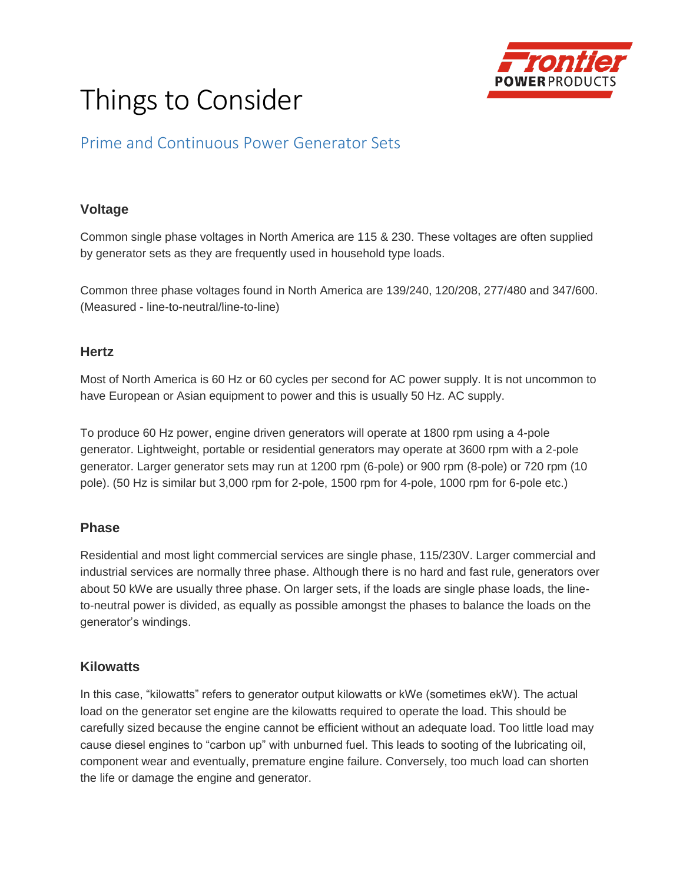

# Things to Consider

# Prime and Continuous Power Generator Sets

## **Voltage**

Common single phase voltages in North America are 115 & 230. These voltages are often supplied by generator sets as they are frequently used in household type loads.

Common three phase voltages found in North America are 139/240, 120/208, 277/480 and 347/600. (Measured - line-to-neutral/line-to-line)

## **Hertz**

Most of North America is 60 Hz or 60 cycles per second for AC power supply. It is not uncommon to have European or Asian equipment to power and this is usually 50 Hz. AC supply.

To produce 60 Hz power, engine driven generators will operate at 1800 rpm using a 4-pole generator. Lightweight, portable or residential generators may operate at 3600 rpm with a 2-pole generator. Larger generator sets may run at 1200 rpm (6-pole) or 900 rpm (8-pole) or 720 rpm (10 pole). (50 Hz is similar but 3,000 rpm for 2-pole, 1500 rpm for 4-pole, 1000 rpm for 6-pole etc.)

#### **Phase**

Residential and most light commercial services are single phase, 115/230V. Larger commercial and industrial services are normally three phase. Although there is no hard and fast rule, generators over about 50 kWe are usually three phase. On larger sets, if the loads are single phase loads, the lineto-neutral power is divided, as equally as possible amongst the phases to balance the loads on the generator's windings.

#### **Kilowatts**

In this case, "kilowatts" refers to generator output kilowatts or kWe (sometimes ekW). The actual load on the generator set engine are the kilowatts required to operate the load. This should be carefully sized because the engine cannot be efficient without an adequate load. Too little load may cause diesel engines to "carbon up" with unburned fuel. This leads to sooting of the lubricating oil, component wear and eventually, premature engine failure. Conversely, too much load can shorten the life or damage the engine and generator.